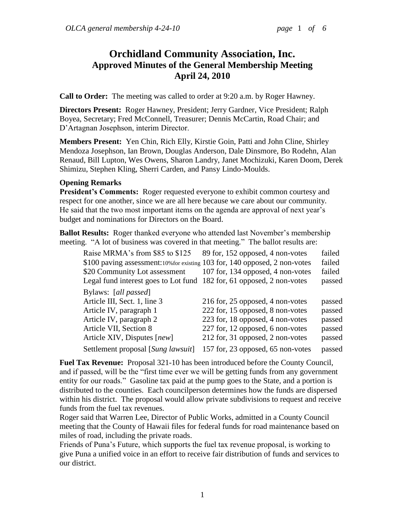# **Orchidland Community Association, Inc. Approved Minutes of the General Membership Meeting April 24, 2010**

**Call to Order:** The meeting was called to order at 9:20 a.m. by Roger Hawney.

**Directors Present:** Roger Hawney, President; Jerry Gardner, Vice President; Ralph Boyea, Secretary; Fred McConnell, Treasurer; Dennis McCartin, Road Chair; and D'Artagnan Josephson, interim Director.

**Members Present:** Yen Chin, Rich Elly, Kirstie Goin, Patti and John Cline, Shirley Mendoza Josephson, Ian Brown, Douglas Anderson, Dale Dinsmore, Bo Rodehn, Alan Renaud, Bill Lupton, Wes Owens, Sharon Landry, Janet Mochizuki, Karen Doom, Derek Shimizu, Stephen Kling, Sherri Carden, and Pansy Lindo-Moulds.

#### **Opening Remarks**

**President's Comments:** Roger requested everyone to exhibit common courtesy and respect for one another, since we are all here because we care about our community. He said that the two most important items on the agenda are approval of next year's budget and nominations for Directors on the Board.

**Ballot Results:** Roger thanked everyone who attended last November's membership meeting. "A lot of business was covered in that meeting." The ballot results are:

| 89 for, 152 opposed, 4 non-votes  | failed                                                                                                                                                                                                                                                          |
|-----------------------------------|-----------------------------------------------------------------------------------------------------------------------------------------------------------------------------------------------------------------------------------------------------------------|
|                                   | failed                                                                                                                                                                                                                                                          |
| 107 for, 134 opposed, 4 non-votes | failed                                                                                                                                                                                                                                                          |
|                                   | passed                                                                                                                                                                                                                                                          |
|                                   |                                                                                                                                                                                                                                                                 |
|                                   | passed                                                                                                                                                                                                                                                          |
|                                   | passed                                                                                                                                                                                                                                                          |
| 223 for, 18 opposed, 4 non-votes  | passed                                                                                                                                                                                                                                                          |
| 227 for, 12 opposed, 6 non-votes  | passed                                                                                                                                                                                                                                                          |
|                                   | passed                                                                                                                                                                                                                                                          |
| 157 for, 23 opposed, 65 non-votes | passed                                                                                                                                                                                                                                                          |
|                                   | \$100 paving assessment:10% for existing 103 for, 140 opposed, 2 non-votes<br>Legal fund interest goes to Lot fund 182 for, 61 opposed, 2 non-votes<br>216 for, 25 opposed, 4 non-votes<br>222 for, 15 opposed, 8 non-votes<br>212 for, 31 opposed, 2 non-votes |

**Fuel Tax Revenue:** Proposal 321-10 has been introduced before the County Council, and if passed, will be the "first time ever we will be getting funds from any government entity for our roads." Gasoline tax paid at the pump goes to the State, and a portion is distributed to the counties. Each councilperson determines how the funds are dispersed within his district. The proposal would allow private subdivisions to request and receive funds from the fuel tax revenues.

Roger said that Warren Lee, Director of Public Works, admitted in a County Council meeting that the County of Hawaii files for federal funds for road maintenance based on miles of road, including the private roads.

Friends of Puna's Future, which supports the fuel tax revenue proposal, is working to give Puna a unified voice in an effort to receive fair distribution of funds and services to our district.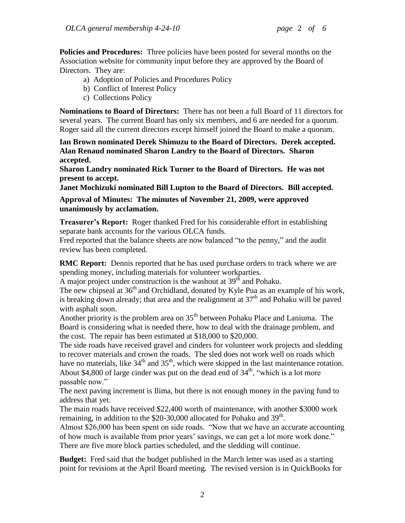**Policies and Procedures:** Three policies have been posted for several months on the Association website for community input before they are approved by the Board of Directors. They are:

- a) Adoption of Policies and Procedures Policy
- b) Conflict of Interest Policy
- c) Collections Policy

**Nominations to Board of Directors:** There has not been a full Board of 11 directors for several years. The current Board has only six members, and 6 are needed for a quorum. Roger said all the current directors except himself joined the Board to make a quorum.

**Ian Brown nominated Derek Shimuzu to the Board of Directors. Derek accepted. Alan Renaud nominated Sharon Landry to the Board of Directors. Sharon accepted.**

**Sharon Landry nominated Rick Turner to the Board of Directors. He was not present to accept.**

**Janet Mochizuki nominated Bill Lupton to the Board of Directors. Bill accepted.**

**Approval of Minutes: The minutes of November 21, 2009, were approved unanimously by acclamation.**

**Treasurer's Report:** Roger thanked Fred for his considerable effort in establishing separate bank accounts for the various OLCA funds.

Fred reported that the balance sheets are now balanced "to the penny," and the audit review has been completed.

**RMC Report:** Dennis reported that he has used purchase orders to track where we are spending money, including materials for volunteer workparties.

A major project under construction is the washout at  $39<sup>th</sup>$  and Pohaku.

The new chipseal at  $36<sup>th</sup>$  and Orchidland, donated by Kyle Pua as an example of his work, is breaking down already; that area and the realignment at  $37<sup>th</sup>$  and Pohaku will be paved with asphalt soon.

Another priority is the problem area on  $35<sup>th</sup>$  between Pohaku Place and Laniuma. The Board is considering what is needed there, how to deal with the drainage problem, and the cost. The repair has been estimated at \$18,000 to \$20,000.

The side roads have received gravel and cinders for volunteer work projects and sledding to recover materials and crown the roads. The sled does not work well on roads which have no materials, like  $34<sup>th</sup>$  and  $35<sup>th</sup>$ , which were skipped in the last maintenance rotation. About \$4,800 of large cinder was put on the dead end of  $34<sup>th</sup>$ , "which is a lot more passable now."

The next paving increment is Ilima, but there is not enough money in the paving fund to address that yet.

The main roads have received \$22,400 worth of maintenance, with another \$3000 work remaining, in addition to the \$20-30,000 allocated for Pohaku and  $39<sup>th</sup>$ .

Almost \$26,000 has been spent on side roads. "Now that we have an accurate accounting of how much is available from prior years' savings, we can get a lot more work done." There are five more block parties scheduled, and the sledding will continue.

**Budget:** Fred said that the budget published in the March letter was used as a starting point for revisions at the April Board meeting. The revised version is in QuickBooks for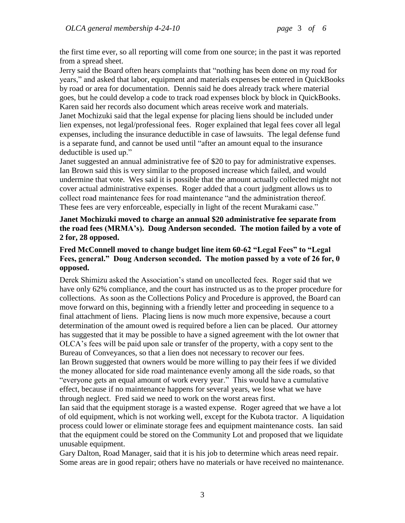the first time ever, so all reporting will come from one source; in the past it was reported from a spread sheet.

Jerry said the Board often hears complaints that "nothing has been done on my road for years," and asked that labor, equipment and materials expenses be entered in QuickBooks by road or area for documentation. Dennis said he does already track where material goes, but he could develop a code to track road expenses block by block in QuickBooks. Karen said her records also document which areas receive work and materials. Janet Mochizuki said that the legal expense for placing liens should be included under lien expenses, not legal/professional fees. Roger explained that legal fees cover all legal expenses, including the insurance deductible in case of lawsuits. The legal defense fund is a separate fund, and cannot be used until "after an amount equal to the insurance deductible is used up."

Janet suggested an annual administrative fee of \$20 to pay for administrative expenses. Ian Brown said this is very similar to the proposed increase which failed, and would undermine that vote. Wes said it is possible that the amount actually collected might not cover actual administrative expenses. Roger added that a court judgment allows us to collect road maintenance fees for road maintenance "and the administration thereof. These fees are very enforceable, especially in light of the recent Murakami case."

### **Janet Mochizuki moved to charge an annual \$20 administrative fee separate from the road fees (MRMA's). Doug Anderson seconded. The motion failed by a vote of 2 for, 28 opposed.**

### **Fred McConnell moved to change budget line item 60-62 "Legal Fees" to "Legal Fees, general." Doug Anderson seconded. The motion passed by a vote of 26 for, 0 opposed.**

Derek Shimizu asked the Association's stand on uncollected fees. Roger said that we have only 62% compliance, and the court has instructed us as to the proper procedure for collections. As soon as the Collections Policy and Procedure is approved, the Board can move forward on this, beginning with a friendly letter and proceeding in sequence to a final attachment of liens. Placing liens is now much more expensive, because a court determination of the amount owed is required before a lien can be placed. Our attorney has suggested that it may be possible to have a signed agreement with the lot owner that OLCA's fees will be paid upon sale or transfer of the property, with a copy sent to the Bureau of Conveyances, so that a lien does not necessary to recover our fees.

Ian Brown suggested that owners would be more willing to pay their fees if we divided the money allocated for side road maintenance evenly among all the side roads, so that "everyone gets an equal amount of work every year." This would have a cumulative effect, because if no maintenance happens for several years, we lose what we have through neglect. Fred said we need to work on the worst areas first.

Ian said that the equipment storage is a wasted expense. Roger agreed that we have a lot of old equipment, which is not working well, except for the Kubota tractor. A liquidation process could lower or eliminate storage fees and equipment maintenance costs. Ian said that the equipment could be stored on the Community Lot and proposed that we liquidate unusable equipment.

Gary Dalton, Road Manager, said that it is his job to determine which areas need repair. Some areas are in good repair; others have no materials or have received no maintenance.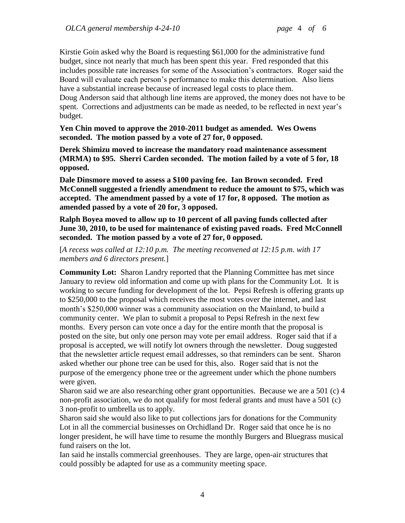Kirstie Goin asked why the Board is requesting \$61,000 for the administrative fund budget, since not nearly that much has been spent this year. Fred responded that this includes possible rate increases for some of the Association's contractors. Roger said the Board will evaluate each person's performance to make this determination. Also liens have a substantial increase because of increased legal costs to place them.

Doug Anderson said that although line items are approved, the money does not have to be spent. Corrections and adjustments can be made as needed, to be reflected in next year's budget.

**Yen Chin moved to approve the 2010-2011 budget as amended. Wes Owens seconded. The motion passed by a vote of 27 for, 0 opposed.**

**Derek Shimizu moved to increase the mandatory road maintenance assessment (MRMA) to \$95. Sherri Carden seconded. The motion failed by a vote of 5 for, 18 opposed.**

**Dale Dinsmore moved to assess a \$100 paving fee. Ian Brown seconded. Fred McConnell suggested a friendly amendment to reduce the amount to \$75, which was accepted. The amendment passed by a vote of 17 for, 8 opposed. The motion as amended passed by a vote of 20 for, 3 opposed.** 

**Ralph Boyea moved to allow up to 10 percent of all paving funds collected after June 30, 2010, to be used for maintenance of existing paved roads. Fred McConnell seconded. The motion passed by a vote of 27 for, 0 opposed.**

[*A recess was called at 12:10 p.m. The meeting reconvened at 12:15 p.m. with 17 members and 6 directors present.*]

**Community Lot:** Sharon Landry reported that the Planning Committee has met since January to review old information and come up with plans for the Community Lot. It is working to secure funding for development of the lot. Pepsi Refresh is offering grants up to \$250,000 to the proposal which receives the most votes over the internet, and last month's \$250,000 winner was a community association on the Mainland, to build a community center. We plan to submit a proposal to Pepsi Refresh in the next few months. Every person can vote once a day for the entire month that the proposal is posted on the site, but only one person may vote per email address. Roger said that if a proposal is accepted, we will notify lot owners through the newsletter. Doug suggested that the newsletter article request email addresses, so that reminders can be sent. Sharon asked whether our phone tree can be used for this, also. Roger said that is not the purpose of the emergency phone tree or the agreement under which the phone numbers were given.

Sharon said we are also researching other grant opportunities. Because we are a 501 (c) 4 non-profit association, we do not qualify for most federal grants and must have a 501 (c) 3 non-profit to umbrella us to apply.

Sharon said she would also like to put collections jars for donations for the Community Lot in all the commercial businesses on Orchidland Dr. Roger said that once he is no longer president, he will have time to resume the monthly Burgers and Bluegrass musical fund raisers on the lot.

Ian said he installs commercial greenhouses. They are large, open-air structures that could possibly be adapted for use as a community meeting space.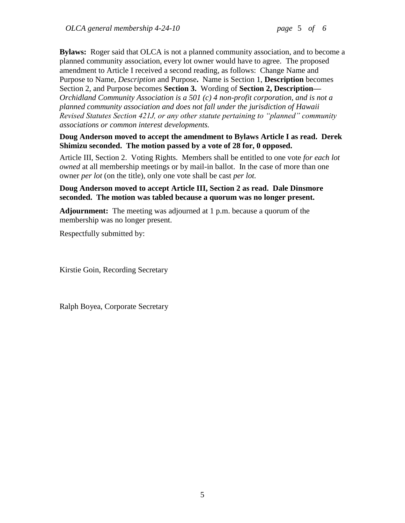**Bylaws:** Roger said that OLCA is not a planned community association, and to become a planned community association, every lot owner would have to agree. The proposed amendment to Article I received a second reading, as follows: Change Name and Purpose to Name, *Description* and Purpose**.** Name is Section 1, **Description** becomes Section 2, and Purpose becomes **Section 3.** Wording of **Section 2, Description—** *Orchidland Community Association is a 501 (c) 4 non-profit corporation, and is not a planned community association and does not fall under the jurisdiction of Hawaii Revised Statutes Section 421J, or any other statute pertaining to "planned" community associations or common interest developments.*

**Doug Anderson moved to accept the amendment to Bylaws Article I as read. Derek Shimizu seconded. The motion passed by a vote of 28 for, 0 opposed.**

Article III, Section 2. Voting Rights. Members shall be entitled to one vote *for each lot owned* at all membership meetings or by mail-in ballot. In the case of more than one owner *per lot* (on the title), only one vote shall be cast *per lot.*

#### **Doug Anderson moved to accept Article III, Section 2 as read. Dale Dinsmore seconded. The motion was tabled because a quorum was no longer present.**

**Adjournment:** The meeting was adjourned at 1 p.m. because a quorum of the membership was no longer present.

Respectfully submitted by:

Kirstie Goin, Recording Secretary

Ralph Boyea, Corporate Secretary